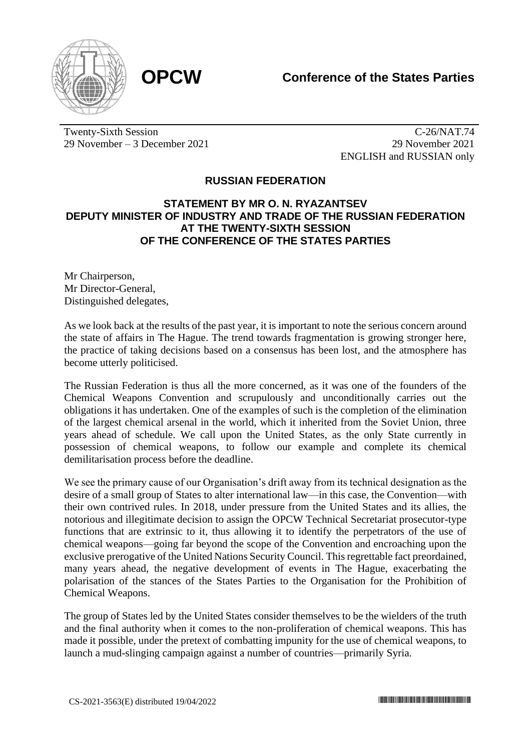



Twenty-Sixth Session 29 November – 3 December 2021

C-26/NAT.74 29 November 2021 ENGLISH and RUSSIAN only

## **RUSSIAN FEDERATION**

## **STATEMENT BY MR O. N. RYAZANTSEV DEPUTY MINISTER OF INDUSTRY AND TRADE OF THE RUSSIAN FEDERATION AT THE TWENTY-SIXTH SESSION OF THE CONFERENCE OF THE STATES PARTIES**

Mr Chairperson, Mr Director-General, Distinguished delegates,

As we look back at the results of the past year, it is important to note the serious concern around the state of affairs in The Hague. The trend towards fragmentation is growing stronger here, the practice of taking decisions based on a consensus has been lost, and the atmosphere has become utterly politicised.

The Russian Federation is thus all the more concerned, as it was one of the founders of the Chemical Weapons Convention and scrupulously and unconditionally carries out the obligations it has undertaken. One of the examples of such is the completion of the elimination of the largest chemical arsenal in the world, which it inherited from the Soviet Union, three years ahead of schedule. We call upon the United States, as the only State currently in possession of chemical weapons, to follow our example and complete its chemical demilitarisation process before the deadline.

We see the primary cause of our Organisation's drift away from its technical designation as the desire of a small group of States to alter international law—in this case, the Convention—with their own contrived rules. In 2018, under pressure from the United States and its allies, the notorious and illegitimate decision to assign the OPCW Technical Secretariat prosecutor-type functions that are extrinsic to it, thus allowing it to identify the perpetrators of the use of chemical weapons—going far beyond the scope of the Convention and encroaching upon the exclusive prerogative of the United Nations Security Council. This regrettable fact preordained, many years ahead, the negative development of events in The Hague, exacerbating the polarisation of the stances of the States Parties to the Organisation for the Prohibition of Chemical Weapons.

The group of States led by the United States consider themselves to be the wielders of the truth and the final authority when it comes to the non-proliferation of chemical weapons. This has made it possible, under the pretext of combatting impunity for the use of chemical weapons, to launch a mud-slinging campaign against a number of countries—primarily Syria.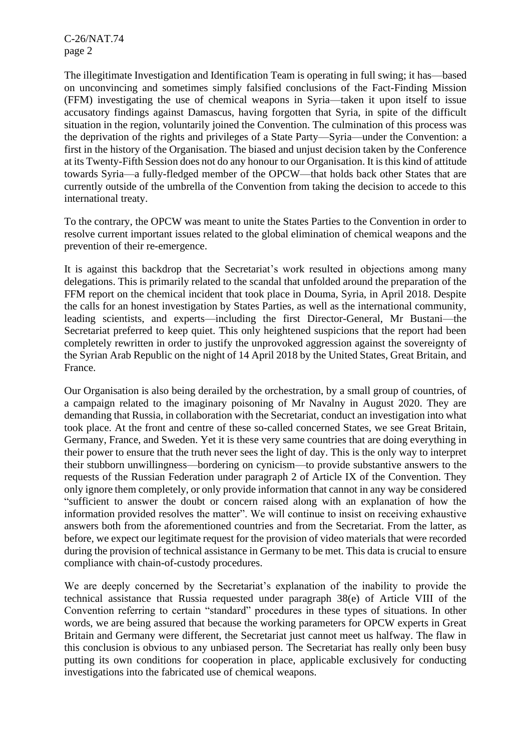C-26/NAT.74 page 2

The illegitimate Investigation and Identification Team is operating in full swing; it has—based on unconvincing and sometimes simply falsified conclusions of the Fact-Finding Mission (FFM) investigating the use of chemical weapons in Syria—taken it upon itself to issue accusatory findings against Damascus, having forgotten that Syria, in spite of the difficult situation in the region, voluntarily joined the Convention. The culmination of this process was the deprivation of the rights and privileges of a State Party—Syria—under the Convention: a first in the history of the Organisation. The biased and unjust decision taken by the Conference at its Twenty-Fifth Session does not do any honour to our Organisation. It is this kind of attitude towards Syria—a fully-fledged member of the OPCW—that holds back other States that are currently outside of the umbrella of the Convention from taking the decision to accede to this international treaty.

To the contrary, the OPCW was meant to unite the States Parties to the Convention in order to resolve current important issues related to the global elimination of chemical weapons and the prevention of their re-emergence.

It is against this backdrop that the Secretariat's work resulted in objections among many delegations. This is primarily related to the scandal that unfolded around the preparation of the FFM report on the chemical incident that took place in Douma, Syria, in April 2018. Despite the calls for an honest investigation by States Parties, as well as the international community, leading scientists, and experts—including the first Director-General, Mr Bustani—the Secretariat preferred to keep quiet. This only heightened suspicions that the report had been completely rewritten in order to justify the unprovoked aggression against the sovereignty of the Syrian Arab Republic on the night of 14 April 2018 by the United States, Great Britain, and France.

Our Organisation is also being derailed by the orchestration, by a small group of countries, of a campaign related to the imaginary poisoning of Mr Navalny in August 2020. They are demanding that Russia, in collaboration with the Secretariat, conduct an investigation into what took place. At the front and centre of these so-called concerned States, we see Great Britain, Germany, France, and Sweden. Yet it is these very same countries that are doing everything in their power to ensure that the truth never sees the light of day. This is the only way to interpret their stubborn unwillingness—bordering on cynicism—to provide substantive answers to the requests of the Russian Federation under paragraph 2 of Article IX of the Convention. They only ignore them completely, or only provide information that cannot in any way be considered "sufficient to answer the doubt or concern raised along with an explanation of how the information provided resolves the matter". We will continue to insist on receiving exhaustive answers both from the aforementioned countries and from the Secretariat. From the latter, as before, we expect our legitimate request for the provision of video materials that were recorded during the provision of technical assistance in Germany to be met. This data is crucial to ensure compliance with chain-of-custody procedures.

We are deeply concerned by the Secretariat's explanation of the inability to provide the technical assistance that Russia requested under paragraph 38(e) of Article VIII of the Convention referring to certain "standard" procedures in these types of situations. In other words, we are being assured that because the working parameters for OPCW experts in Great Britain and Germany were different, the Secretariat just cannot meet us halfway. The flaw in this conclusion is obvious to any unbiased person. The Secretariat has really only been busy putting its own conditions for cooperation in place, applicable exclusively for conducting investigations into the fabricated use of chemical weapons.